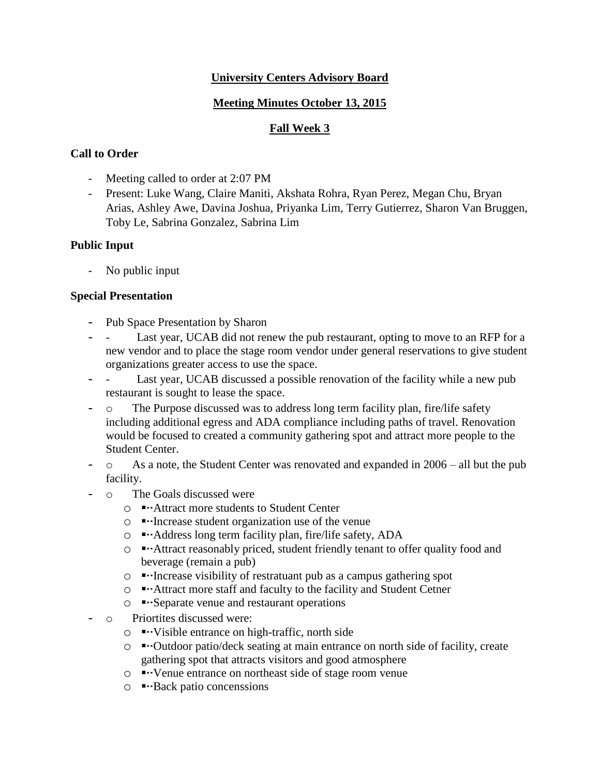### **University Centers Advisory Board**

### **Meeting Minutes October 13, 2015**

# **Fall Week 3**

# **Call to Order**

- Meeting called to order at 2:07 PM
- Present: Luke Wang, Claire Maniti, Akshata Rohra, Ryan Perez, Megan Chu, Bryan Arias, Ashley Awe, Davina Joshua, Priyanka Lim, Terry Gutierrez, Sharon Van Bruggen, Toby Le, Sabrina Gonzalez, Sabrina Lim

# **Public Input**

- No public input

# **Special Presentation**

- Pub Space Presentation by Sharon
- - Last year, UCAB did not renew the pub restaurant, opting to move to an RFP for a new vendor and to place the stage room vendor under general reservations to give student organizations greater access to use the space.
- - Last year, UCAB discussed a possible renovation of the facility while a new pub restaurant is sought to lease the space.
- o The Purpose discussed was to address long term facility plan, fire/life safety including additional egress and ADA compliance including paths of travel. Renovation would be focused to created a community gathering spot and attract more people to the Student Center.
- o As a note, the Student Center was renovated and expanded in 2006 all but the pub facility.
- o The Goals discussed were
	- o Attract more students to Student Center
	- $\circ$   $\cdots$  Increase student organization use of the venue
	- $\circ$   $\bullet$  Address long term facility plan, fire/life safety, ADA
	- o Attract reasonably priced, student friendly tenant to offer quality food and beverage (remain a pub)
	- $\circ$   $\bullet$  Increase visibility of restratuant pub as a campus gathering spot
	- o Attract more staff and faculty to the facility and Student Cetner
	- ■ Separate venue and restaurant operations
- o Priortites discussed were:
	- $\circ$   $\bullet$  · Visible entrance on high-traffic, north side
	- o Outdoor patio/deck seating at main entrance on north side of facility, create gathering spot that attracts visitors and good atmosphere
	- o Venue entrance on northeast side of stage room venue
	- $\circ$   $\cdots$  Back patio concenssions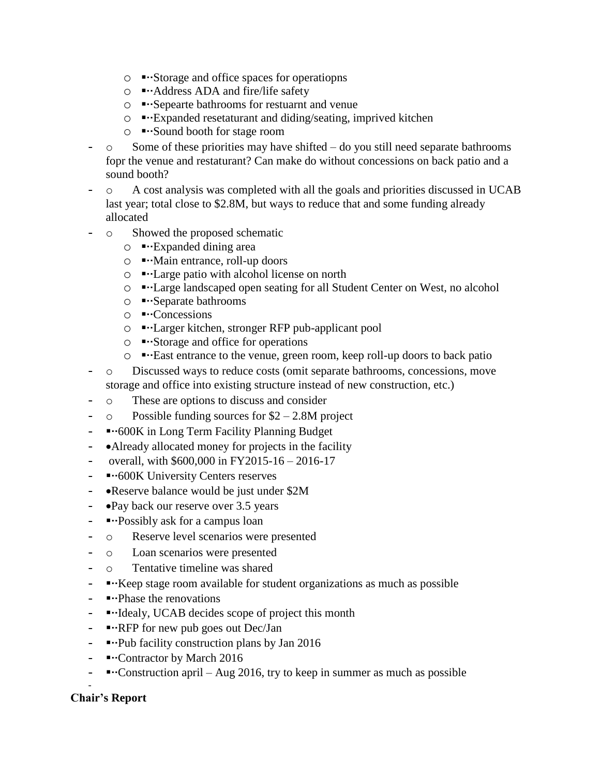- $\circ$   $\cdots$ Storage and office spaces for operatiopns
- $\circ$   $\bullet$  Address ADA and fire/life safety
- o Sepearte bathrooms for restuarnt and venue
- o Expanded resetaturant and diding/seating, imprived kitchen
- $\circ$  Sound booth for stage room
- o Some of these priorities may have shifted do you still need separate bathrooms fopr the venue and restaturant? Can make do without concessions on back patio and a sound booth?
- o A cost analysis was completed with all the goals and priorities discussed in UCAB last year; total close to \$2.8M, but ways to reduce that and some funding already allocated
- o Showed the proposed schematic
	- $\circ$   $\cdots$  Expanded dining area
	- $\circ$   $\cdots$  Main entrance, roll-up doors
	- o Large patio with alcohol license on north
	- o Large landscaped open seating for all Student Center on West, no alcohol
	- $\circ$   $\cdots$  Separate bathrooms
	- $\circ$   $\cdots$  Concessions
	- o Larger kitchen, stronger RFP pub-applicant pool
	- $\circ$   $\cdots$  Storage and office for operations
	- o East entrance to the venue, green room, keep roll-up doors to back patio
- o Discussed ways to reduce costs (omit separate bathrooms, concessions, move storage and office into existing structure instead of new construction, etc.)
- o These are options to discuss and consider
- $\circ$  Possible funding sources for \$2 2.8M project
- ■ 600K in Long Term Facility Planning Budget
- Already allocated money for projects in the facility
- overall, with \$600,000 in FY2015-16 2016-17
- ■ 600K University Centers reserves
- • Reserve balance would be just under \$2M
- Pay back our reserve over 3.5 years
- Possibly ask for a campus loan
- o Reserve level scenarios were presented
- o Loan scenarios were presented
- o Tentative timeline was shared
- $\blacksquare$ . Keep stage room available for student organizations as much as possible
- $\text{-}$   $\text{-}$  Phase the renovations
- $\blacksquare$  Idealy, UCAB decides scope of project this month
- $\blacksquare \blacksquare \blacksquare$  Ferriff for new pub goes out Dec/Jan
- $\bullet$  Pub facility construction plans by Jan 2016
- Contractor by March 2016
- $\cdots$  Construction april Aug 2016, try to keep in summer as much as possible

# **Chair's Report**

-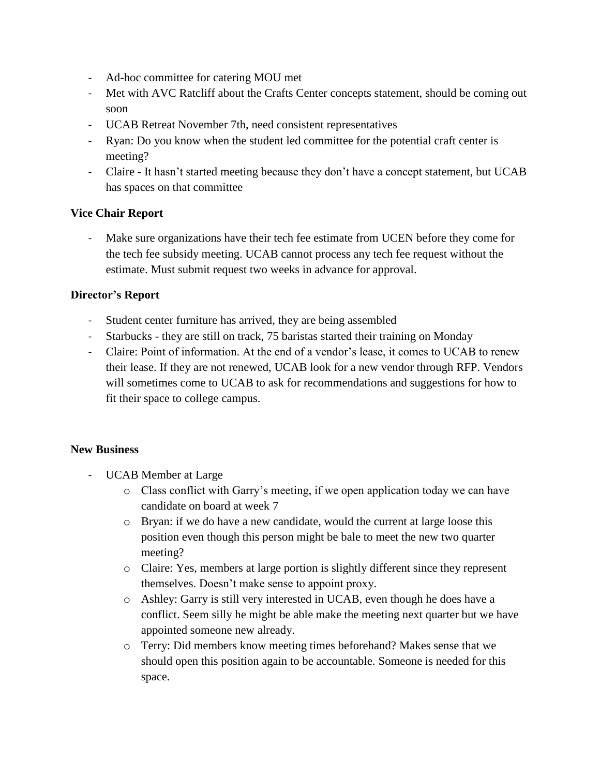- Ad-hoc committee for catering MOU met
- Met with AVC Ratcliff about the Crafts Center concepts statement, should be coming out soon
- UCAB Retreat November 7th, need consistent representatives
- Ryan: Do you know when the student led committee for the potential craft center is meeting?
- Claire It hasn't started meeting because they don't have a concept statement, but UCAB has spaces on that committee

### **Vice Chair Report**

Make sure organizations have their tech fee estimate from UCEN before they come for the tech fee subsidy meeting. UCAB cannot process any tech fee request without the estimate. Must submit request two weeks in advance for approval.

### **Director's Report**

- Student center furniture has arrived, they are being assembled
- Starbucks they are still on track, 75 baristas started their training on Monday
- Claire: Point of information. At the end of a vendor's lease, it comes to UCAB to renew their lease. If they are not renewed, UCAB look for a new vendor through RFP. Vendors will sometimes come to UCAB to ask for recommendations and suggestions for how to fit their space to college campus.

#### **New Business**

- UCAB Member at Large
	- o Class conflict with Garry's meeting, if we open application today we can have candidate on board at week 7
	- o Bryan: if we do have a new candidate, would the current at large loose this position even though this person might be bale to meet the new two quarter meeting?
	- o Claire: Yes, members at large portion is slightly different since they represent themselves. Doesn't make sense to appoint proxy.
	- o Ashley: Garry is still very interested in UCAB, even though he does have a conflict. Seem silly he might be able make the meeting next quarter but we have appointed someone new already.
	- o Terry: Did members know meeting times beforehand? Makes sense that we should open this position again to be accountable. Someone is needed for this space.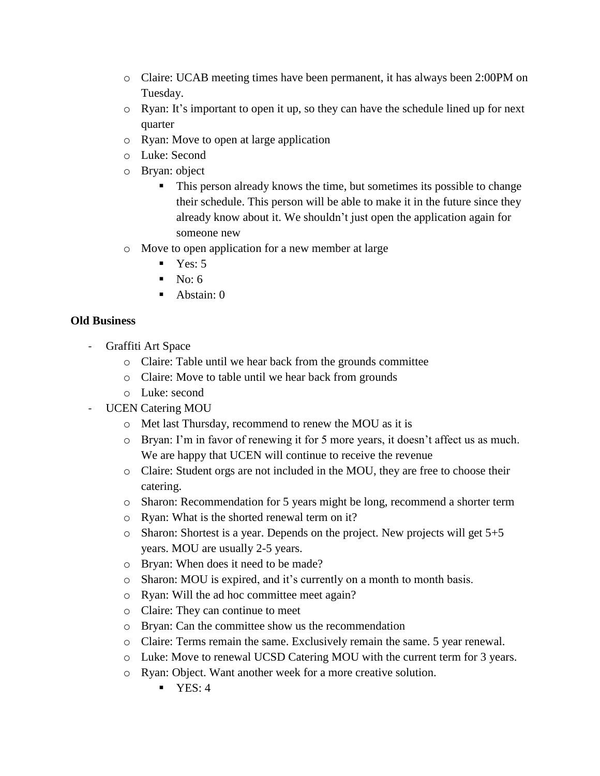- o Claire: UCAB meeting times have been permanent, it has always been 2:00PM on Tuesday.
- $\circ$  Ryan: It's important to open it up, so they can have the schedule lined up for next quarter
- o Ryan: Move to open at large application
- o Luke: Second
- o Bryan: object
	- This person already knows the time, but sometimes its possible to change their schedule. This person will be able to make it in the future since they already know about it. We shouldn't just open the application again for someone new
- o Move to open application for a new member at large
	- $Y$ es: 5
	- $N<sub>0</sub>: 6$
	- Abstain: 0

### **Old Business**

- Graffiti Art Space
	- o Claire: Table until we hear back from the grounds committee
	- o Claire: Move to table until we hear back from grounds
	- o Luke: second
- UCEN Catering MOU
	- o Met last Thursday, recommend to renew the MOU as it is
	- o Bryan: I'm in favor of renewing it for 5 more years, it doesn't affect us as much. We are happy that UCEN will continue to receive the revenue
	- o Claire: Student orgs are not included in the MOU, they are free to choose their catering.
	- o Sharon: Recommendation for 5 years might be long, recommend a shorter term
	- o Ryan: What is the shorted renewal term on it?
	- o Sharon: Shortest is a year. Depends on the project. New projects will get 5+5 years. MOU are usually 2-5 years.
	- o Bryan: When does it need to be made?
	- o Sharon: MOU is expired, and it's currently on a month to month basis.
	- o Ryan: Will the ad hoc committee meet again?
	- o Claire: They can continue to meet
	- o Bryan: Can the committee show us the recommendation
	- o Claire: Terms remain the same. Exclusively remain the same. 5 year renewal.
	- o Luke: Move to renewal UCSD Catering MOU with the current term for 3 years.
	- o Ryan: Object. Want another week for a more creative solution.
		- $\blacksquare$  YES: 4